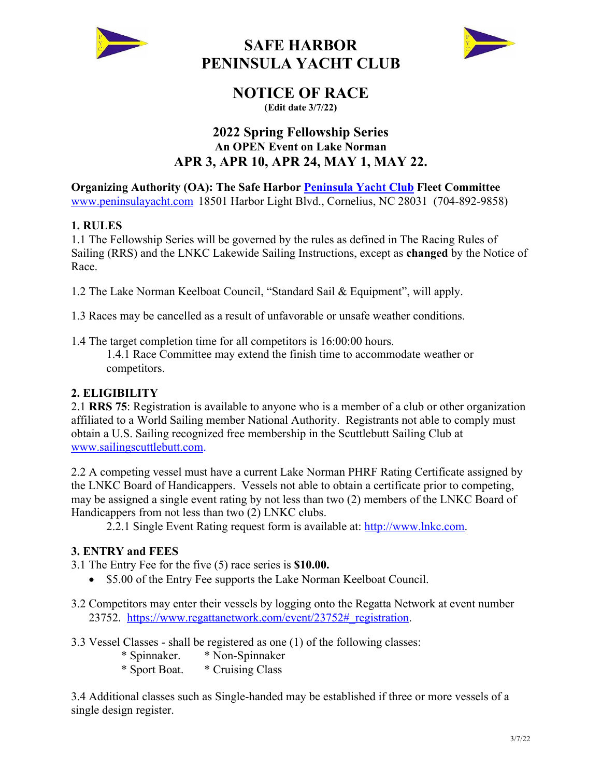

## **SAFE HARBOR PENINSULA YACHT CLUB**



## **NOTICE OF RACE**

**(Edit date 3/7/22)**

### **2022 Spring Fellowship Series An OPEN Event on Lake Norman APR 3, APR 10, APR 24, MAY 1, MAY 22.**

**Organizing Authority (OA): The Safe Harbor Peninsula Yacht Club Fleet Committee** www.peninsulayacht.com 18501 Harbor Light Blvd., Cornelius, NC 28031 (704-892-9858)

#### **1. RULES**

1.1 The Fellowship Series will be governed by the rules as defined in The Racing Rules of Sailing (RRS) and the LNKC Lakewide Sailing Instructions, except as **changed** by the Notice of Race.

1.2 The Lake Norman Keelboat Council, "Standard Sail & Equipment", will apply.

1.3 Races may be cancelled as a result of unfavorable or unsafe weather conditions.

1.4 The target completion time for all competitors is 16:00:00 hours. 1.4.1 Race Committee may extend the finish time to accommodate weather or competitors.

#### **2. ELIGIBILITY**

2.1 **RRS 75**: Registration is available to anyone who is a member of a club or other organization affiliated to a World Sailing member National Authority. Registrants not able to comply must obtain a U.S. Sailing recognized free membership in the Scuttlebutt Sailing Club at www.sailingscuttlebutt.com.

2.2 A competing vessel must have a current Lake Norman PHRF Rating Certificate assigned by the LNKC Board of Handicappers. Vessels not able to obtain a certificate prior to competing, may be assigned a single event rating by not less than two (2) members of the LNKC Board of Handicappers from not less than two (2) LNKC clubs.

2.2.1 Single Event Rating request form is available at: http://www.lnkc.com.

#### **3. ENTRY and FEES**

- 3.1 The Entry Fee for the five (5) race series is **\$10.00.** 
	- \$5.00 of the Entry Fee supports the Lake Norman Keelboat Council.
- 3.2 Competitors may enter their vessels by logging onto the Regatta Network at event number 23752. https://www.regattanetwork.com/event/23752#\_registration.

3.3 Vessel Classes - shall be registered as one (1) of the following classes:

- \* Spinnaker. \* Non-Spinnaker
- \* Sport Boat. \* Cruising Class

3.4 Additional classes such as Single-handed may be established if three or more vessels of a single design register.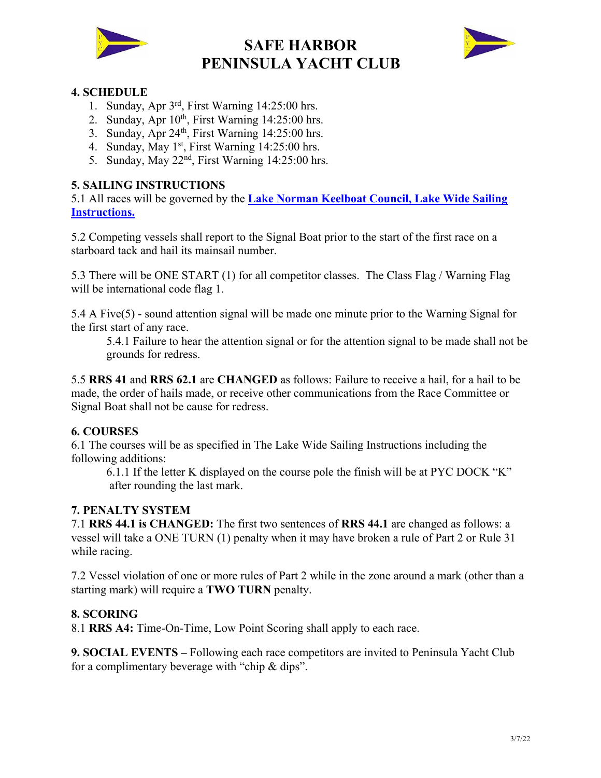

# **SAFE HARBOR PENINSULA YACHT CLUB**



#### **4. SCHEDULE**

- 1. Sunday, Apr 3rd, First Warning 14:25:00 hrs.
- 2. Sunday, Apr  $10^{th}$ , First Warning  $14:25:00$  hrs.
- 3. Sunday, Apr  $24<sup>th</sup>$ , First Warning 14:25:00 hrs.
- 4. Sunday, May  $1<sup>st</sup>$ , First Warning  $14:25:00$  hrs.
- 5. Sunday, May 22nd, First Warning 14:25:00 hrs.

#### **5. SAILING INSTRUCTIONS**

5.1 All races will be governed by the **Lake Norman Keelboat Council, Lake Wide Sailing Instructions.**

5.2 Competing vessels shall report to the Signal Boat prior to the start of the first race on a starboard tack and hail its mainsail number.

5.3 There will be ONE START (1) for all competitor classes. The Class Flag / Warning Flag will be international code flag 1.

5.4 A Five(5) - sound attention signal will be made one minute prior to the Warning Signal for the first start of any race.

5.4.1 Failure to hear the attention signal or for the attention signal to be made shall not be grounds for redress.

5.5 **RRS 41** and **RRS 62.1** are **CHANGED** as follows: Failure to receive a hail, for a hail to be made, the order of hails made, or receive other communications from the Race Committee or Signal Boat shall not be cause for redress.

#### **6. COURSES**

6.1 The courses will be as specified in The Lake Wide Sailing Instructions including the following additions:

6.1.1 If the letter K displayed on the course pole the finish will be at PYC DOCK "K" after rounding the last mark.

#### **7. PENALTY SYSTEM**

7.1 **RRS 44.1 is CHANGED:** The first two sentences of **RRS 44.1** are changed as follows: a vessel will take a ONE TURN (1) penalty when it may have broken a rule of Part 2 or Rule 31 while racing.

7.2 Vessel violation of one or more rules of Part 2 while in the zone around a mark (other than a starting mark) will require a **TWO TURN** penalty.

#### **8. SCORING**

8.1 **RRS A4:** Time-On-Time, Low Point Scoring shall apply to each race.

**9. SOCIAL EVENTS –** Following each race competitors are invited to Peninsula Yacht Club for a complimentary beverage with "chip & dips".